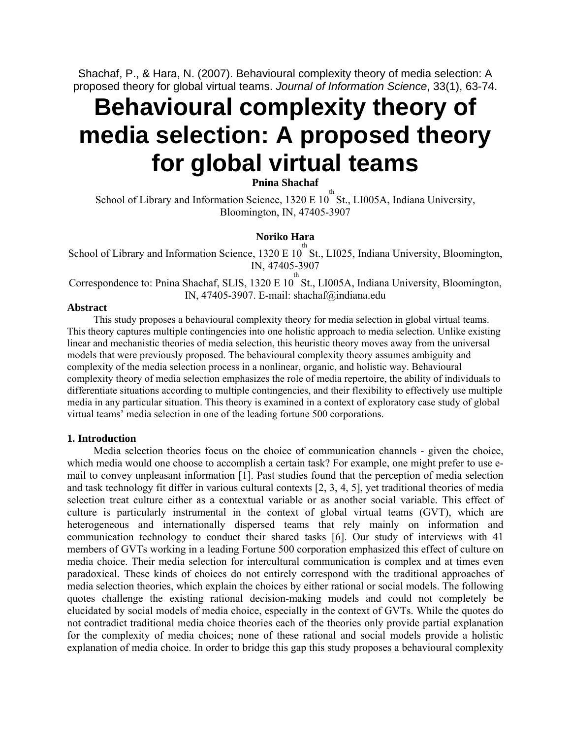Shachaf, P., & Hara, N. (2007). Behavioural complexity theory of media selection: A proposed theory for global virtual teams. *Journal of Information Science*, 33(1), 63-74.

# **Behavioural complexity theory of media selection: A proposed theory for global virtual teams**

**Pnina Shachaf** 

School of Library and Information Science,  $1320 \text{ E } 10^{th}$  St., LI005A, Indiana University, Bloomington, IN, 47405-3907

# **Noriko Hara**

School of Library and Information Science, 1320 E  $10^{th}$  St., LI025, Indiana University, Bloomington, IN, 47405-3907

Correspondence to: Pnina Shachaf, SLIS, 1320 E  $10^{th}$  St., LI005A, Indiana University, Bloomington, IN, 47405-3907. E-mail: shachaf@indiana.edu

## **Abstract**

This study proposes a behavioural complexity theory for media selection in global virtual teams. This theory captures multiple contingencies into one holistic approach to media selection. Unlike existing linear and mechanistic theories of media selection, this heuristic theory moves away from the universal models that were previously proposed. The behavioural complexity theory assumes ambiguity and complexity of the media selection process in a nonlinear, organic, and holistic way. Behavioural complexity theory of media selection emphasizes the role of media repertoire, the ability of individuals to differentiate situations according to multiple contingencies, and their flexibility to effectively use multiple media in any particular situation. This theory is examined in a context of exploratory case study of global virtual teams' media selection in one of the leading fortune 500 corporations.

## **1. Introduction**

Media selection theories focus on the choice of communication channels - given the choice, which media would one choose to accomplish a certain task? For example, one might prefer to use email to convey unpleasant information [1]. Past studies found that the perception of media selection and task technology fit differ in various cultural contexts [2, 3, 4, 5], yet traditional theories of media selection treat culture either as a contextual variable or as another social variable. This effect of culture is particularly instrumental in the context of global virtual teams (GVT), which are heterogeneous and internationally dispersed teams that rely mainly on information and communication technology to conduct their shared tasks [6]. Our study of interviews with 41 members of GVTs working in a leading Fortune 500 corporation emphasized this effect of culture on media choice. Their media selection for intercultural communication is complex and at times even paradoxical. These kinds of choices do not entirely correspond with the traditional approaches of media selection theories, which explain the choices by either rational or social models. The following quotes challenge the existing rational decision-making models and could not completely be elucidated by social models of media choice, especially in the context of GVTs. While the quotes do not contradict traditional media choice theories each of the theories only provide partial explanation for the complexity of media choices; none of these rational and social models provide a holistic explanation of media choice. In order to bridge this gap this study proposes a behavioural complexity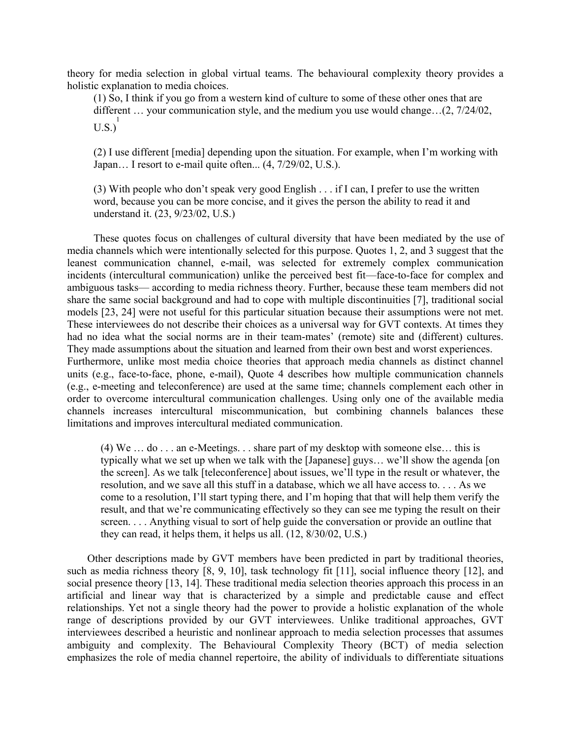theory for media selection in global virtual teams. The behavioural complexity theory provides a holistic explanation to media choices.

(1) So, I think if you go from a western kind of culture to some of these other ones that are different … your communication style, and the medium you use would change…(2, 7/24/02,  $\text{U.S.}\right)^1$ 

(2) I use different [media] depending upon the situation. For example, when I'm working with Japan... I resort to e-mail quite often...  $(4, 7/29/02, U.S.).$ 

(3) With people who don't speak very good English . . . if I can, I prefer to use the written word, because you can be more concise, and it gives the person the ability to read it and understand it. (23, 9/23/02, U.S.)

These quotes focus on challenges of cultural diversity that have been mediated by the use of media channels which were intentionally selected for this purpose. Quotes 1, 2, and 3 suggest that the leanest communication channel, e-mail, was selected for extremely complex communication incidents (intercultural communication) unlike the perceived best fit—face-to-face for complex and ambiguous tasks— according to media richness theory. Further, because these team members did not share the same social background and had to cope with multiple discontinuities [7], traditional social models [23, 24] were not useful for this particular situation because their assumptions were not met. These interviewees do not describe their choices as a universal way for GVT contexts. At times they had no idea what the social norms are in their team-mates' (remote) site and (different) cultures. They made assumptions about the situation and learned from their own best and worst experiences. Furthermore, unlike most media choice theories that approach media channels as distinct channel units (e.g., face-to-face, phone, e-mail), Quote 4 describes how multiple communication channels (e.g., e-meeting and teleconference) are used at the same time; channels complement each other in order to overcome intercultural communication challenges. Using only one of the available media channels increases intercultural miscommunication, but combining channels balances these limitations and improves intercultural mediated communication.

(4) We … do . . . an e-Meetings. . . share part of my desktop with someone else… this is typically what we set up when we talk with the [Japanese] guys… we'll show the agenda [on the screen]. As we talk [teleconference] about issues, we'll type in the result or whatever, the resolution, and we save all this stuff in a database, which we all have access to. . . . As we come to a resolution, I'll start typing there, and I'm hoping that that will help them verify the result, and that we're communicating effectively so they can see me typing the result on their screen. . . . Anything visual to sort of help guide the conversation or provide an outline that they can read, it helps them, it helps us all. (12, 8/30/02, U.S.)

Other descriptions made by GVT members have been predicted in part by traditional theories, such as media richness theory [8, 9, 10], task technology fit [11], social influence theory [12], and social presence theory [13, 14]. These traditional media selection theories approach this process in an artificial and linear way that is characterized by a simple and predictable cause and effect relationships. Yet not a single theory had the power to provide a holistic explanation of the whole range of descriptions provided by our GVT interviewees. Unlike traditional approaches, GVT interviewees described a heuristic and nonlinear approach to media selection processes that assumes ambiguity and complexity. The Behavioural Complexity Theory (BCT) of media selection emphasizes the role of media channel repertoire, the ability of individuals to differentiate situations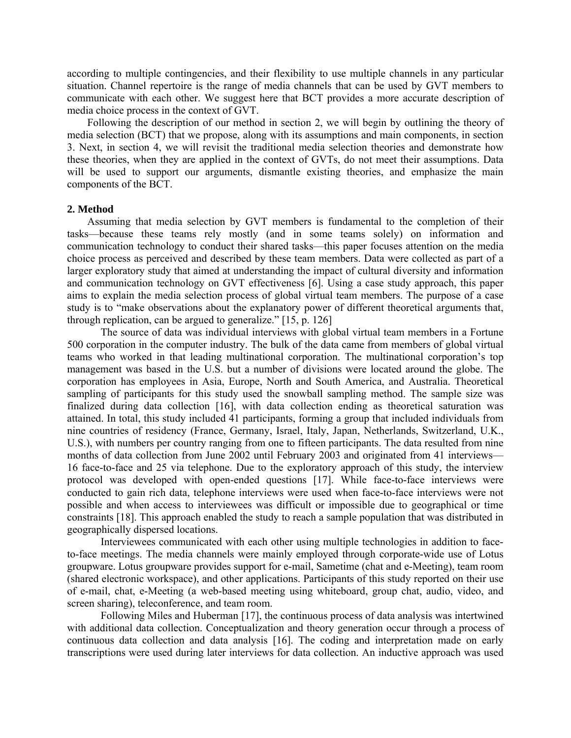according to multiple contingencies, and their flexibility to use multiple channels in any particular situation. Channel repertoire is the range of media channels that can be used by GVT members to communicate with each other. We suggest here that BCT provides a more accurate description of media choice process in the context of GVT.

Following the description of our method in section 2, we will begin by outlining the theory of media selection (BCT) that we propose, along with its assumptions and main components, in section 3. Next, in section 4, we will revisit the traditional media selection theories and demonstrate how these theories, when they are applied in the context of GVTs, do not meet their assumptions. Data will be used to support our arguments, dismantle existing theories, and emphasize the main components of the BCT.

#### **2. Method**

Assuming that media selection by GVT members is fundamental to the completion of their tasks—because these teams rely mostly (and in some teams solely) on information and communication technology to conduct their shared tasks—this paper focuses attention on the media choice process as perceived and described by these team members. Data were collected as part of a larger exploratory study that aimed at understanding the impact of cultural diversity and information and communication technology on GVT effectiveness [6]. Using a case study approach, this paper aims to explain the media selection process of global virtual team members. The purpose of a case study is to "make observations about the explanatory power of different theoretical arguments that, through replication, can be argued to generalize." [15, p. 126]

The source of data was individual interviews with global virtual team members in a Fortune 500 corporation in the computer industry. The bulk of the data came from members of global virtual teams who worked in that leading multinational corporation. The multinational corporation's top management was based in the U.S. but a number of divisions were located around the globe. The corporation has employees in Asia, Europe, North and South America, and Australia. Theoretical sampling of participants for this study used the snowball sampling method. The sample size was finalized during data collection [16], with data collection ending as theoretical saturation was attained. In total, this study included 41 participants, forming a group that included individuals from nine countries of residency (France, Germany, Israel, Italy, Japan, Netherlands, Switzerland, U.K., U.S.), with numbers per country ranging from one to fifteen participants. The data resulted from nine months of data collection from June 2002 until February 2003 and originated from 41 interviews— 16 face-to-face and 25 via telephone. Due to the exploratory approach of this study, the interview protocol was developed with open-ended questions [17]. While face-to-face interviews were conducted to gain rich data, telephone interviews were used when face-to-face interviews were not possible and when access to interviewees was difficult or impossible due to geographical or time constraints [18]. This approach enabled the study to reach a sample population that was distributed in geographically dispersed locations.

Interviewees communicated with each other using multiple technologies in addition to faceto-face meetings. The media channels were mainly employed through corporate-wide use of Lotus groupware. Lotus groupware provides support for e-mail, Sametime (chat and e-Meeting), team room (shared electronic workspace), and other applications. Participants of this study reported on their use of e-mail, chat, e-Meeting (a web-based meeting using whiteboard, group chat, audio, video, and screen sharing), teleconference, and team room.

Following Miles and Huberman [17], the continuous process of data analysis was intertwined with additional data collection. Conceptualization and theory generation occur through a process of continuous data collection and data analysis [16]. The coding and interpretation made on early transcriptions were used during later interviews for data collection. An inductive approach was used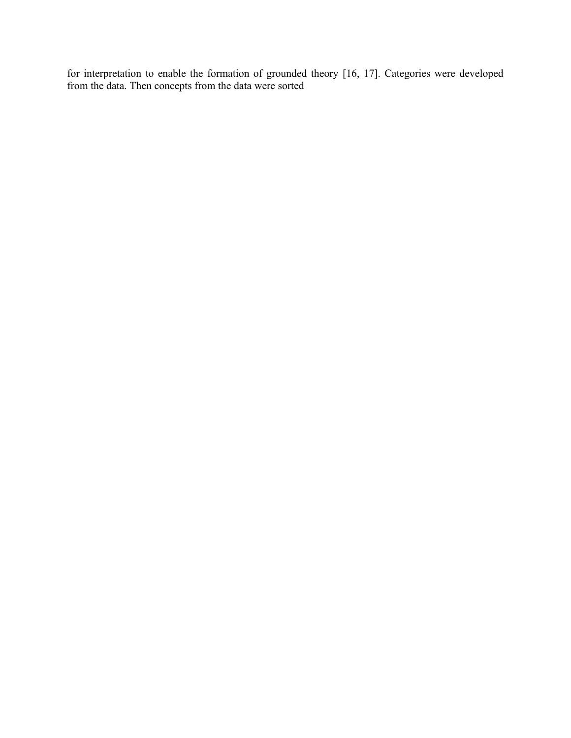for interpretation to enable the formation of grounded theory [16, 17]. Categories were developed from the data. Then concepts from the data were sorted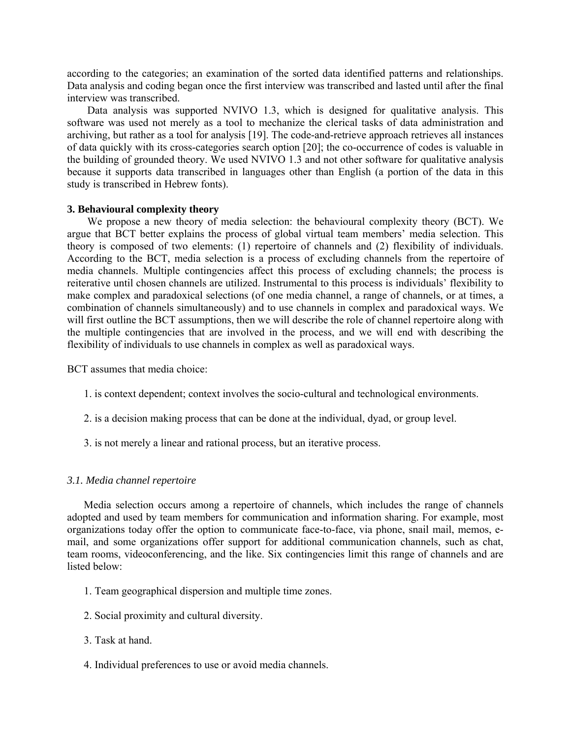according to the categories; an examination of the sorted data identified patterns and relationships. Data analysis and coding began once the first interview was transcribed and lasted until after the final interview was transcribed.

Data analysis was supported NVIVO 1.3, which is designed for qualitative analysis. This software was used not merely as a tool to mechanize the clerical tasks of data administration and archiving, but rather as a tool for analysis [19]. The code-and-retrieve approach retrieves all instances of data quickly with its cross-categories search option [20]; the co-occurrence of codes is valuable in the building of grounded theory. We used NVIVO 1.3 and not other software for qualitative analysis because it supports data transcribed in languages other than English (a portion of the data in this study is transcribed in Hebrew fonts).

### **3. Behavioural complexity theory**

We propose a new theory of media selection: the behavioural complexity theory (BCT). We argue that BCT better explains the process of global virtual team members' media selection. This theory is composed of two elements: (1) repertoire of channels and (2) flexibility of individuals. According to the BCT, media selection is a process of excluding channels from the repertoire of media channels. Multiple contingencies affect this process of excluding channels; the process is reiterative until chosen channels are utilized. Instrumental to this process is individuals' flexibility to make complex and paradoxical selections (of one media channel, a range of channels, or at times, a combination of channels simultaneously) and to use channels in complex and paradoxical ways. We will first outline the BCT assumptions, then we will describe the role of channel repertoire along with the multiple contingencies that are involved in the process, and we will end with describing the flexibility of individuals to use channels in complex as well as paradoxical ways.

BCT assumes that media choice:

- 1. is context dependent; context involves the socio-cultural and technological environments.
- 2. is a decision making process that can be done at the individual, dyad, or group level.
- 3. is not merely a linear and rational process, but an iterative process.

### *3.1. Media channel repertoire*

Media selection occurs among a repertoire of channels, which includes the range of channels adopted and used by team members for communication and information sharing. For example, most organizations today offer the option to communicate face-to-face, via phone, snail mail, memos, email, and some organizations offer support for additional communication channels, such as chat, team rooms, videoconferencing, and the like. Six contingencies limit this range of channels and are listed below:

- 1. Team geographical dispersion and multiple time zones.
- 2. Social proximity and cultural diversity.
- 3. Task at hand.
- 4. Individual preferences to use or avoid media channels.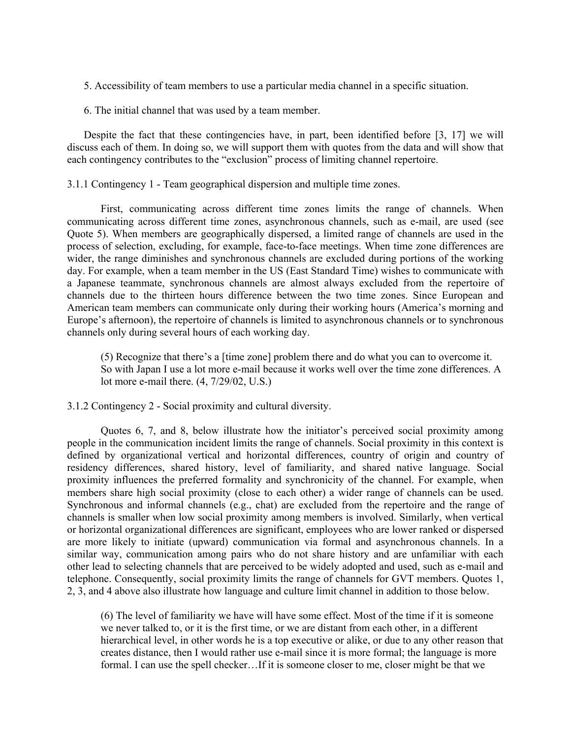5. Accessibility of team members to use a particular media channel in a specific situation.

6. The initial channel that was used by a team member.

Despite the fact that these contingencies have, in part, been identified before [3, 17] we will discuss each of them. In doing so, we will support them with quotes from the data and will show that each contingency contributes to the "exclusion" process of limiting channel repertoire.

3.1.1 Contingency 1 - Team geographical dispersion and multiple time zones.

First, communicating across different time zones limits the range of channels. When communicating across different time zones, asynchronous channels, such as e-mail, are used (see Quote 5). When members are geographically dispersed, a limited range of channels are used in the process of selection, excluding, for example, face-to-face meetings. When time zone differences are wider, the range diminishes and synchronous channels are excluded during portions of the working day. For example, when a team member in the US (East Standard Time) wishes to communicate with a Japanese teammate, synchronous channels are almost always excluded from the repertoire of channels due to the thirteen hours difference between the two time zones. Since European and American team members can communicate only during their working hours (America's morning and Europe's afternoon), the repertoire of channels is limited to asynchronous channels or to synchronous channels only during several hours of each working day.

(5) Recognize that there's a [time zone] problem there and do what you can to overcome it. So with Japan I use a lot more e-mail because it works well over the time zone differences. A lot more e-mail there. (4, 7/29/02, U.S.)

3.1.2 Contingency 2 - Social proximity and cultural diversity.

Quotes 6, 7, and 8, below illustrate how the initiator's perceived social proximity among people in the communication incident limits the range of channels. Social proximity in this context is defined by organizational vertical and horizontal differences, country of origin and country of residency differences, shared history, level of familiarity, and shared native language. Social proximity influences the preferred formality and synchronicity of the channel. For example, when members share high social proximity (close to each other) a wider range of channels can be used. Synchronous and informal channels (e.g., chat) are excluded from the repertoire and the range of channels is smaller when low social proximity among members is involved. Similarly, when vertical or horizontal organizational differences are significant, employees who are lower ranked or dispersed are more likely to initiate (upward) communication via formal and asynchronous channels. In a similar way, communication among pairs who do not share history and are unfamiliar with each other lead to selecting channels that are perceived to be widely adopted and used, such as e-mail and telephone. Consequently, social proximity limits the range of channels for GVT members. Quotes 1, 2, 3, and 4 above also illustrate how language and culture limit channel in addition to those below.

(6) The level of familiarity we have will have some effect. Most of the time if it is someone we never talked to, or it is the first time, or we are distant from each other, in a different hierarchical level, in other words he is a top executive or alike, or due to any other reason that creates distance, then I would rather use e-mail since it is more formal; the language is more formal. I can use the spell checker…If it is someone closer to me, closer might be that we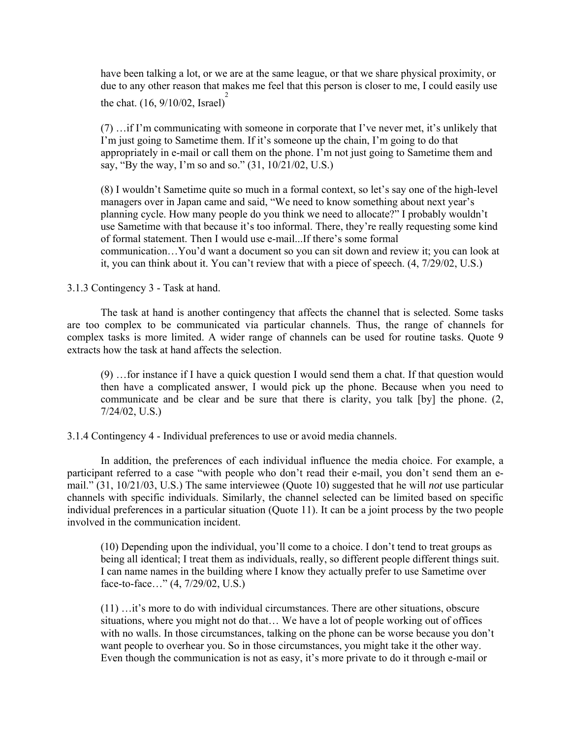have been talking a lot, or we are at the same league, or that we share physical proximity, or due to any other reason that makes me feel that this person is closer to me, I could easily use the chat.  $(16, 9/10/02,$  Israel)<sup>2</sup>

(7) …if I'm communicating with someone in corporate that I've never met, it's unlikely that I'm just going to Sametime them. If it's someone up the chain, I'm going to do that appropriately in e-mail or call them on the phone. I'm not just going to Sametime them and say, "By the way, I'm so and so." (31, 10/21/02, U.S.)

(8) I wouldn't Sametime quite so much in a formal context, so let's say one of the high-level managers over in Japan came and said, "We need to know something about next year's planning cycle. How many people do you think we need to allocate?" I probably wouldn't use Sametime with that because it's too informal. There, they're really requesting some kind of formal statement. Then I would use e-mail. If there's some formal communication…You'd want a document so you can sit down and review it; you can look at it, you can think about it. You can't review that with a piece of speech. (4, 7/29/02, U.S.)

3.1.3 Contingency 3 - Task at hand.

The task at hand is another contingency that affects the channel that is selected. Some tasks are too complex to be communicated via particular channels. Thus, the range of channels for complex tasks is more limited. A wider range of channels can be used for routine tasks. Quote 9 extracts how the task at hand affects the selection.

(9) …for instance if I have a quick question I would send them a chat. If that question would then have a complicated answer, I would pick up the phone. Because when you need to communicate and be clear and be sure that there is clarity, you talk [by] the phone. (2, 7/24/02, U.S.)

3.1.4 Contingency 4 - Individual preferences to use or avoid media channels.

In addition, the preferences of each individual influence the media choice. For example, a participant referred to a case "with people who don't read their e-mail, you don't send them an email." (31, 10/21/03, U.S.) The same interviewee (Quote 10) suggested that he will *not* use particular channels with specific individuals. Similarly, the channel selected can be limited based on specific individual preferences in a particular situation (Quote 11). It can be a joint process by the two people involved in the communication incident.

(10) Depending upon the individual, you'll come to a choice. I don't tend to treat groups as being all identical; I treat them as individuals, really, so different people different things suit. I can name names in the building where I know they actually prefer to use Sametime over face-to-face…" (4, 7/29/02, U.S.)

(11) …it's more to do with individual circumstances. There are other situations, obscure situations, where you might not do that… We have a lot of people working out of offices with no walls. In those circumstances, talking on the phone can be worse because you don't want people to overhear you. So in those circumstances, you might take it the other way. Even though the communication is not as easy, it's more private to do it through e-mail or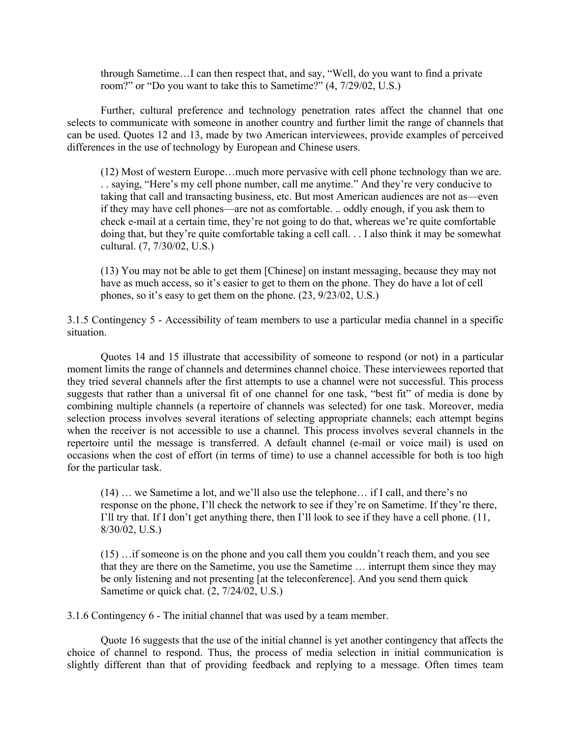through Sametime…I can then respect that, and say, "Well, do you want to find a private room?" or "Do you want to take this to Sametime?" (4, 7/29/02, U.S.)

Further, cultural preference and technology penetration rates affect the channel that one selects to communicate with someone in another country and further limit the range of channels that can be used. Quotes 12 and 13, made by two American interviewees, provide examples of perceived differences in the use of technology by European and Chinese users.

(12) Most of western Europe…much more pervasive with cell phone technology than we are. . . saying, "Here's my cell phone number, call me anytime." And they're very conducive to taking that call and transacting business, etc. But most American audiences are not as—even if they may have cell phones—are not as comfortable. .. oddly enough, if you ask them to check e-mail at a certain time, they're not going to do that, whereas we're quite comfortable doing that, but they're quite comfortable taking a cell call. . . I also think it may be somewhat cultural. (7, 7/30/02, U.S.)

(13) You may not be able to get them [Chinese] on instant messaging, because they may not have as much access, so it's easier to get to them on the phone. They do have a lot of cell phones, so it's easy to get them on the phone. (23, 9/23/02, U.S.)

3.1.5 Contingency 5 - Accessibility of team members to use a particular media channel in a specific situation.

Quotes 14 and 15 illustrate that accessibility of someone to respond (or not) in a particular moment limits the range of channels and determines channel choice. These interviewees reported that they tried several channels after the first attempts to use a channel were not successful. This process suggests that rather than a universal fit of one channel for one task, "best fit" of media is done by combining multiple channels (a repertoire of channels was selected) for one task. Moreover, media selection process involves several iterations of selecting appropriate channels; each attempt begins when the receiver is not accessible to use a channel. This process involves several channels in the repertoire until the message is transferred. A default channel (e-mail or voice mail) is used on occasions when the cost of effort (in terms of time) to use a channel accessible for both is too high for the particular task.

(14) … we Sametime a lot, and we'll also use the telephone… if I call, and there's no response on the phone, I'll check the network to see if they're on Sametime. If they're there, I'll try that. If I don't get anything there, then I'll look to see if they have a cell phone. (11, 8/30/02, U.S.)

(15) …if someone is on the phone and you call them you couldn't reach them, and you see that they are there on the Sametime, you use the Sametime … interrupt them since they may be only listening and not presenting [at the teleconference]. And you send them quick Sametime or quick chat. (2, 7/24/02, U.S.)

3.1.6 Contingency 6 - The initial channel that was used by a team member.

Quote 16 suggests that the use of the initial channel is yet another contingency that affects the choice of channel to respond. Thus, the process of media selection in initial communication is slightly different than that of providing feedback and replying to a message. Often times team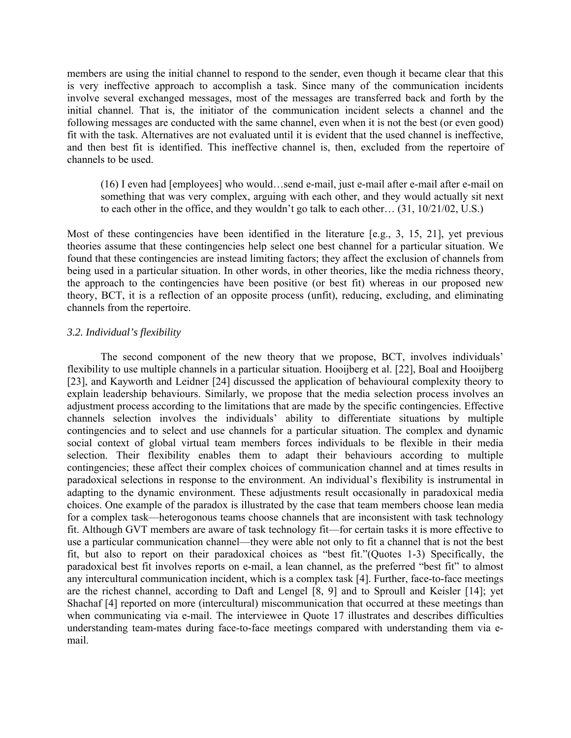members are using the initial channel to respond to the sender, even though it became clear that this is very ineffective approach to accomplish a task. Since many of the communication incidents involve several exchanged messages, most of the messages are transferred back and forth by the initial channel. That is, the initiator of the communication incident selects a channel and the following messages are conducted with the same channel, even when it is not the best (or even good) fit with the task. Alternatives are not evaluated until it is evident that the used channel is ineffective, and then best fit is identified. This ineffective channel is, then, excluded from the repertoire of channels to be used.

(16) I even had [employees] who would…send e-mail, just e-mail after e-mail after e-mail on something that was very complex, arguing with each other, and they would actually sit next to each other in the office, and they wouldn't go talk to each other… (31, 10/21/02, U.S.)

Most of these contingencies have been identified in the literature [e.g., 3, 15, 21], yet previous theories assume that these contingencies help select one best channel for a particular situation. We found that these contingencies are instead limiting factors; they affect the exclusion of channels from being used in a particular situation. In other words, in other theories, like the media richness theory, the approach to the contingencies have been positive (or best fit) whereas in our proposed new theory, BCT, it is a reflection of an opposite process (unfit), reducing, excluding, and eliminating channels from the repertoire.

## *3.2. Individual's flexibility*

The second component of the new theory that we propose, BCT, involves individuals' flexibility to use multiple channels in a particular situation. Hooijberg et al. [22], Boal and Hooijberg [23], and Kayworth and Leidner [24] discussed the application of behavioural complexity theory to explain leadership behaviours. Similarly, we propose that the media selection process involves an adjustment process according to the limitations that are made by the specific contingencies. Effective channels selection involves the individuals' ability to differentiate situations by multiple contingencies and to select and use channels for a particular situation. The complex and dynamic social context of global virtual team members forces individuals to be flexible in their media selection. Their flexibility enables them to adapt their behaviours according to multiple contingencies; these affect their complex choices of communication channel and at times results in paradoxical selections in response to the environment. An individual's flexibility is instrumental in adapting to the dynamic environment. These adjustments result occasionally in paradoxical media choices. One example of the paradox is illustrated by the case that team members choose lean media for a complex task—heterogonous teams choose channels that are inconsistent with task technology fit. Although GVT members are aware of task technology fit—for certain tasks it is more effective to use a particular communication channel—they were able not only to fit a channel that is not the best fit, but also to report on their paradoxical choices as "best fit."(Quotes 1-3) Specifically, the paradoxical best fit involves reports on e-mail, a lean channel, as the preferred "best fit" to almost any intercultural communication incident, which is a complex task [4]. Further, face-to-face meetings are the richest channel, according to Daft and Lengel [8, 9] and to Sproull and Keisler [14]; yet Shachaf [4] reported on more (intercultural) miscommunication that occurred at these meetings than when communicating via e-mail. The interviewee in Quote 17 illustrates and describes difficulties understanding team-mates during face-to-face meetings compared with understanding them via email.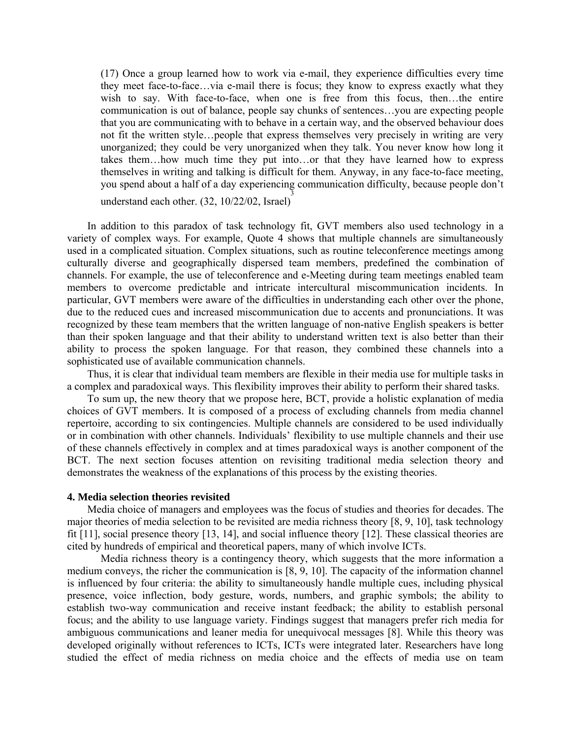(17) Once a group learned how to work via e-mail, they experience difficulties every time they meet face-to-face…via e-mail there is focus; they know to express exactly what they wish to say. With face-to-face, when one is free from this focus, then...the entire communication is out of balance, people say chunks of sentences…you are expecting people that you are communicating with to behave in a certain way, and the observed behaviour does not fit the written style…people that express themselves very precisely in writing are very unorganized; they could be very unorganized when they talk. You never know how long it takes them…how much time they put into…or that they have learned how to express themselves in writing and talking is difficult for them. Anyway, in any face-to-face meeting, you spend about a half of a day experiencing communication difficulty, because people don't understand each other.  $(32, 10/22/02,$  Israel)

In addition to this paradox of task technology fit, GVT members also used technology in a variety of complex ways. For example, Quote 4 shows that multiple channels are simultaneously used in a complicated situation. Complex situations, such as routine teleconference meetings among culturally diverse and geographically dispersed team members, predefined the combination of channels. For example, the use of teleconference and e-Meeting during team meetings enabled team members to overcome predictable and intricate intercultural miscommunication incidents. In particular, GVT members were aware of the difficulties in understanding each other over the phone, due to the reduced cues and increased miscommunication due to accents and pronunciations. It was recognized by these team members that the written language of non-native English speakers is better than their spoken language and that their ability to understand written text is also better than their ability to process the spoken language. For that reason, they combined these channels into a sophisticated use of available communication channels.

Thus, it is clear that individual team members are flexible in their media use for multiple tasks in a complex and paradoxical ways. This flexibility improves their ability to perform their shared tasks.

To sum up, the new theory that we propose here, BCT, provide a holistic explanation of media choices of GVT members. It is composed of a process of excluding channels from media channel repertoire, according to six contingencies. Multiple channels are considered to be used individually or in combination with other channels. Individuals' flexibility to use multiple channels and their use of these channels effectively in complex and at times paradoxical ways is another component of the BCT. The next section focuses attention on revisiting traditional media selection theory and demonstrates the weakness of the explanations of this process by the existing theories.

## **4. Media selection theories revisited**

Media choice of managers and employees was the focus of studies and theories for decades. The major theories of media selection to be revisited are media richness theory [8, 9, 10], task technology fit [11], social presence theory [13, 14], and social influence theory [12]. These classical theories are cited by hundreds of empirical and theoretical papers, many of which involve ICTs.

Media richness theory is a contingency theory, which suggests that the more information a medium conveys, the richer the communication is [8, 9, 10]. The capacity of the information channel is influenced by four criteria: the ability to simultaneously handle multiple cues, including physical presence, voice inflection, body gesture, words, numbers, and graphic symbols; the ability to establish two-way communication and receive instant feedback; the ability to establish personal focus; and the ability to use language variety. Findings suggest that managers prefer rich media for ambiguous communications and leaner media for unequivocal messages [8]. While this theory was developed originally without references to ICTs, ICTs were integrated later. Researchers have long studied the effect of media richness on media choice and the effects of media use on team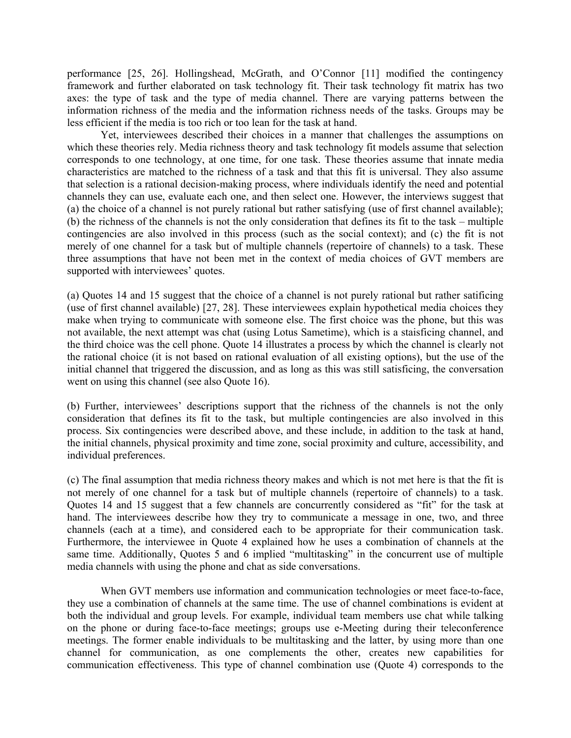performance [25, 26]. Hollingshead, McGrath, and O'Connor [11] modified the contingency framework and further elaborated on task technology fit. Their task technology fit matrix has two axes: the type of task and the type of media channel. There are varying patterns between the information richness of the media and the information richness needs of the tasks. Groups may be less efficient if the media is too rich or too lean for the task at hand.

Yet, interviewees described their choices in a manner that challenges the assumptions on which these theories rely. Media richness theory and task technology fit models assume that selection corresponds to one technology, at one time, for one task. These theories assume that innate media characteristics are matched to the richness of a task and that this fit is universal. They also assume that selection is a rational decision-making process, where individuals identify the need and potential channels they can use, evaluate each one, and then select one. However, the interviews suggest that (a) the choice of a channel is not purely rational but rather satisfying (use of first channel available); (b) the richness of the channels is not the only consideration that defines its fit to the task – multiple contingencies are also involved in this process (such as the social context); and (c) the fit is not merely of one channel for a task but of multiple channels (repertoire of channels) to a task. These three assumptions that have not been met in the context of media choices of GVT members are supported with interviewees' quotes.

(a) Quotes 14 and 15 suggest that the choice of a channel is not purely rational but rather satificing (use of first channel available) [27, 28]. These interviewees explain hypothetical media choices they make when trying to communicate with someone else. The first choice was the phone, but this was not available, the next attempt was chat (using Lotus Sametime), which is a staisficing channel, and the third choice was the cell phone. Quote 14 illustrates a process by which the channel is clearly not the rational choice (it is not based on rational evaluation of all existing options), but the use of the initial channel that triggered the discussion, and as long as this was still satisficing, the conversation went on using this channel (see also Quote 16).

(b) Further, interviewees' descriptions support that the richness of the channels is not the only consideration that defines its fit to the task, but multiple contingencies are also involved in this process. Six contingencies were described above, and these include, in addition to the task at hand, the initial channels, physical proximity and time zone, social proximity and culture, accessibility, and individual preferences.

(c) The final assumption that media richness theory makes and which is not met here is that the fit is not merely of one channel for a task but of multiple channels (repertoire of channels) to a task. Quotes 14 and 15 suggest that a few channels are concurrently considered as "fit" for the task at hand. The interviewees describe how they try to communicate a message in one, two, and three channels (each at a time), and considered each to be appropriate for their communication task. Furthermore, the interviewee in Quote 4 explained how he uses a combination of channels at the same time. Additionally, Quotes 5 and 6 implied "multitasking" in the concurrent use of multiple media channels with using the phone and chat as side conversations.

When GVT members use information and communication technologies or meet face-to-face, they use a combination of channels at the same time. The use of channel combinations is evident at both the individual and group levels. For example, individual team members use chat while talking on the phone or during face-to-face meetings; groups use e-Meeting during their teleconference meetings. The former enable individuals to be multitasking and the latter, by using more than one channel for communication, as one complements the other, creates new capabilities for communication effectiveness. This type of channel combination use (Quote 4) corresponds to the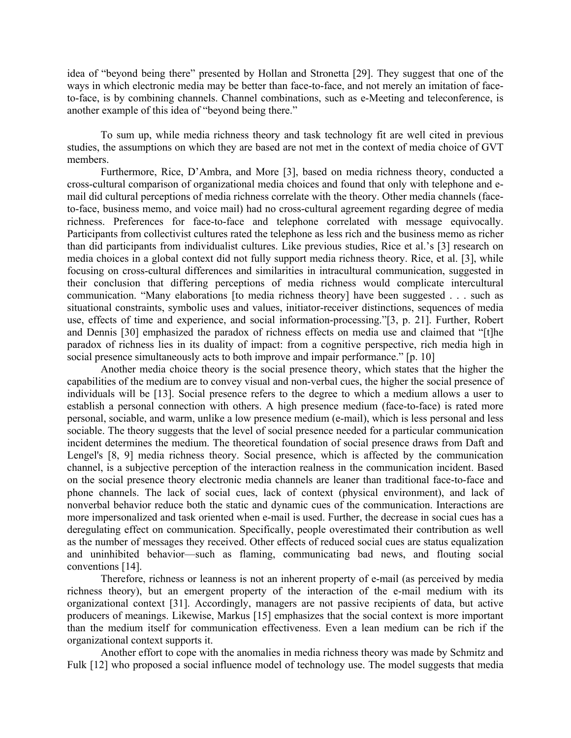idea of "beyond being there" presented by Hollan and Stronetta [29]. They suggest that one of the ways in which electronic media may be better than face-to-face, and not merely an imitation of faceto-face, is by combining channels. Channel combinations, such as e-Meeting and teleconference, is another example of this idea of "beyond being there."

To sum up, while media richness theory and task technology fit are well cited in previous studies, the assumptions on which they are based are not met in the context of media choice of GVT members.

Furthermore, Rice, D'Ambra, and More [3], based on media richness theory, conducted a cross-cultural comparison of organizational media choices and found that only with telephone and email did cultural perceptions of media richness correlate with the theory. Other media channels (faceto-face, business memo, and voice mail) had no cross-cultural agreement regarding degree of media richness. Preferences for face-to-face and telephone correlated with message equivocally. Participants from collectivist cultures rated the telephone as less rich and the business memo as richer than did participants from individualist cultures. Like previous studies, Rice et al.'s [3] research on media choices in a global context did not fully support media richness theory. Rice, et al. [3], while focusing on cross-cultural differences and similarities in intracultural communication, suggested in their conclusion that differing perceptions of media richness would complicate intercultural communication. "Many elaborations [to media richness theory] have been suggested . . . such as situational constraints, symbolic uses and values, initiator-receiver distinctions, sequences of media use, effects of time and experience, and social information-processing."[3, p. 21]. Further, Robert and Dennis [30] emphasized the paradox of richness effects on media use and claimed that "[t]he paradox of richness lies in its duality of impact: from a cognitive perspective, rich media high in social presence simultaneously acts to both improve and impair performance." [p. 10]

Another media choice theory is the social presence theory, which states that the higher the capabilities of the medium are to convey visual and non-verbal cues, the higher the social presence of individuals will be [13]. Social presence refers to the degree to which a medium allows a user to establish a personal connection with others. A high presence medium (face-to-face) is rated more personal, sociable, and warm, unlike a low presence medium (e-mail), which is less personal and less sociable. The theory suggests that the level of social presence needed for a particular communication incident determines the medium. The theoretical foundation of social presence draws from Daft and Lengel's [8, 9] media richness theory. Social presence, which is affected by the communication channel, is a subjective perception of the interaction realness in the communication incident. Based on the social presence theory electronic media channels are leaner than traditional face-to-face and phone channels. The lack of social cues, lack of context (physical environment), and lack of nonverbal behavior reduce both the static and dynamic cues of the communication. Interactions are more impersonalized and task oriented when e-mail is used. Further, the decrease in social cues has a deregulating effect on communication. Specifically, people overestimated their contribution as well as the number of messages they received. Other effects of reduced social cues are status equalization and uninhibited behavior—such as flaming, communicating bad news, and flouting social conventions [14].

Therefore, richness or leanness is not an inherent property of e-mail (as perceived by media richness theory), but an emergent property of the interaction of the e-mail medium with its organizational context [31]. Accordingly, managers are not passive recipients of data, but active producers of meanings. Likewise, Markus [15] emphasizes that the social context is more important than the medium itself for communication effectiveness. Even a lean medium can be rich if the organizational context supports it.

Another effort to cope with the anomalies in media richness theory was made by Schmitz and Fulk [12] who proposed a social influence model of technology use. The model suggests that media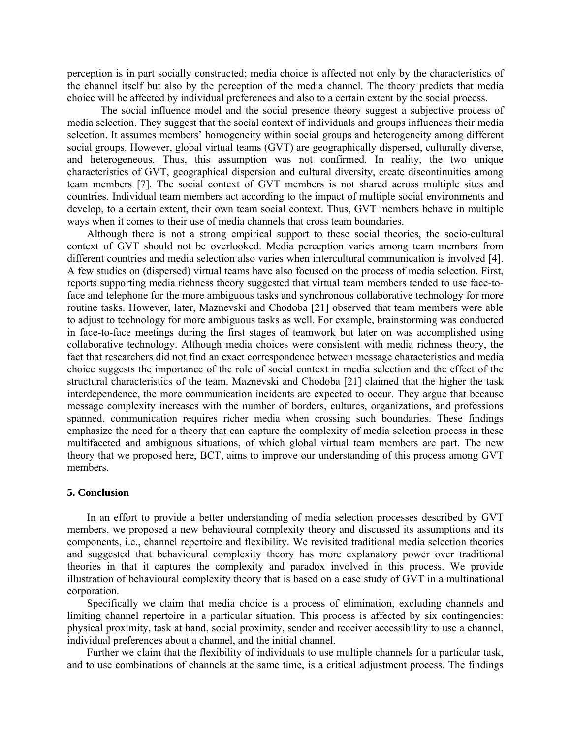perception is in part socially constructed; media choice is affected not only by the characteristics of the channel itself but also by the perception of the media channel. The theory predicts that media choice will be affected by individual preferences and also to a certain extent by the social process.

The social influence model and the social presence theory suggest a subjective process of media selection. They suggest that the social context of individuals and groups influences their media selection. It assumes members' homogeneity within social groups and heterogeneity among different social groups. However, global virtual teams (GVT) are geographically dispersed, culturally diverse, and heterogeneous. Thus, this assumption was not confirmed. In reality, the two unique characteristics of GVT, geographical dispersion and cultural diversity, create discontinuities among team members [7]. The social context of GVT members is not shared across multiple sites and countries. Individual team members act according to the impact of multiple social environments and develop, to a certain extent, their own team social context. Thus, GVT members behave in multiple ways when it comes to their use of media channels that cross team boundaries.

Although there is not a strong empirical support to these social theories, the socio-cultural context of GVT should not be overlooked. Media perception varies among team members from different countries and media selection also varies when intercultural communication is involved [4]. A few studies on (dispersed) virtual teams have also focused on the process of media selection. First, reports supporting media richness theory suggested that virtual team members tended to use face-toface and telephone for the more ambiguous tasks and synchronous collaborative technology for more routine tasks. However, later, Maznevski and Chodoba [21] observed that team members were able to adjust to technology for more ambiguous tasks as well. For example, brainstorming was conducted in face-to-face meetings during the first stages of teamwork but later on was accomplished using collaborative technology. Although media choices were consistent with media richness theory, the fact that researchers did not find an exact correspondence between message characteristics and media choice suggests the importance of the role of social context in media selection and the effect of the structural characteristics of the team. Maznevski and Chodoba [21] claimed that the higher the task interdependence, the more communication incidents are expected to occur. They argue that because message complexity increases with the number of borders, cultures, organizations, and professions spanned, communication requires richer media when crossing such boundaries. These findings emphasize the need for a theory that can capture the complexity of media selection process in these multifaceted and ambiguous situations, of which global virtual team members are part. The new theory that we proposed here, BCT, aims to improve our understanding of this process among GVT members.

## **5. Conclusion**

In an effort to provide a better understanding of media selection processes described by GVT members, we proposed a new behavioural complexity theory and discussed its assumptions and its components, i.e., channel repertoire and flexibility. We revisited traditional media selection theories and suggested that behavioural complexity theory has more explanatory power over traditional theories in that it captures the complexity and paradox involved in this process. We provide illustration of behavioural complexity theory that is based on a case study of GVT in a multinational corporation.

Specifically we claim that media choice is a process of elimination, excluding channels and limiting channel repertoire in a particular situation. This process is affected by six contingencies: physical proximity, task at hand, social proximity, sender and receiver accessibility to use a channel, individual preferences about a channel, and the initial channel.

Further we claim that the flexibility of individuals to use multiple channels for a particular task, and to use combinations of channels at the same time, is a critical adjustment process. The findings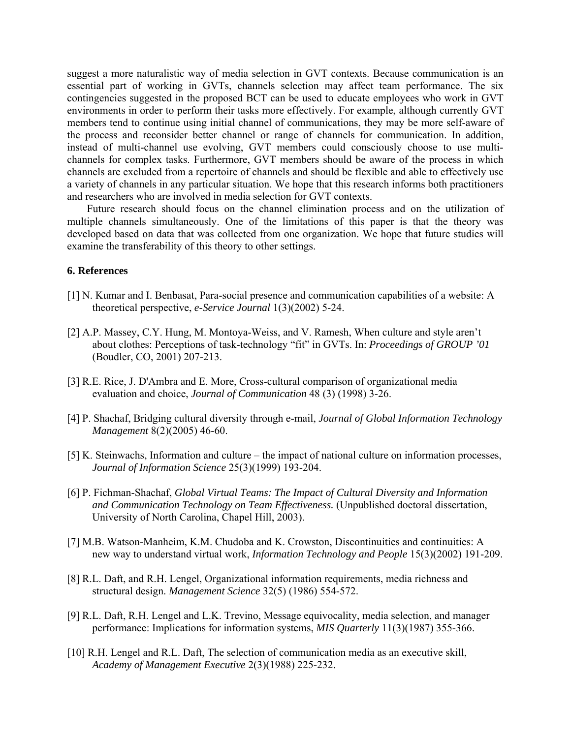suggest a more naturalistic way of media selection in GVT contexts. Because communication is an essential part of working in GVTs, channels selection may affect team performance. The six contingencies suggested in the proposed BCT can be used to educate employees who work in GVT environments in order to perform their tasks more effectively. For example, although currently GVT members tend to continue using initial channel of communications, they may be more self-aware of the process and reconsider better channel or range of channels for communication. In addition, instead of multi-channel use evolving, GVT members could consciously choose to use multichannels for complex tasks. Furthermore, GVT members should be aware of the process in which channels are excluded from a repertoire of channels and should be flexible and able to effectively use a variety of channels in any particular situation. We hope that this research informs both practitioners and researchers who are involved in media selection for GVT contexts.

Future research should focus on the channel elimination process and on the utilization of multiple channels simultaneously. One of the limitations of this paper is that the theory was developed based on data that was collected from one organization. We hope that future studies will examine the transferability of this theory to other settings.

### **6. References**

- [1] N. Kumar and I. Benbasat, Para-social presence and communication capabilities of a website: A theoretical perspective, *e-Service Journal* 1(3)(2002) 5-24.
- [2] A.P. Massey, C.Y. Hung, M. Montoya-Weiss, and V. Ramesh, When culture and style aren't about clothes: Perceptions of task-technology "fit" in GVTs. In: *Proceedings of GROUP '01*  (Boudler, CO, 2001) 207-213.
- [3] R.E. Rice, J. D'Ambra and E. More, Cross-cultural comparison of organizational media evaluation and choice, *Journal of Communication* 48 (3) (1998) 3-26.
- [4] P. Shachaf, Bridging cultural diversity through e-mail, *Journal of Global Information Technology Management* 8(2)(2005) 46-60.
- [5] K. Steinwachs, Information and culture the impact of national culture on information processes, *Journal of Information Science* 25(3)(1999) 193-204.
- [6] P. Fichman-Shachaf, *Global Virtual Teams: The Impact of Cultural Diversity and Information and Communication Technology on Team Effectiveness.* (Unpublished doctoral dissertation, University of North Carolina, Chapel Hill, 2003).
- [7] M.B. Watson-Manheim, K.M. Chudoba and K. Crowston, Discontinuities and continuities: A new way to understand virtual work, *Information Technology and People* 15(3)(2002) 191-209.
- [8] R.L. Daft, and R.H. Lengel, Organizational information requirements, media richness and structural design. *Management Science* 32(5) (1986) 554-572.
- [9] R.L. Daft, R.H. Lengel and L.K. Trevino, Message equivocality, media selection, and manager performance: Implications for information systems, *MIS Quarterly* 11(3)(1987) 355-366.
- [10] R.H. Lengel and R.L. Daft, The selection of communication media as an executive skill, *Academy of Management Executive* 2(3)(1988) 225-232.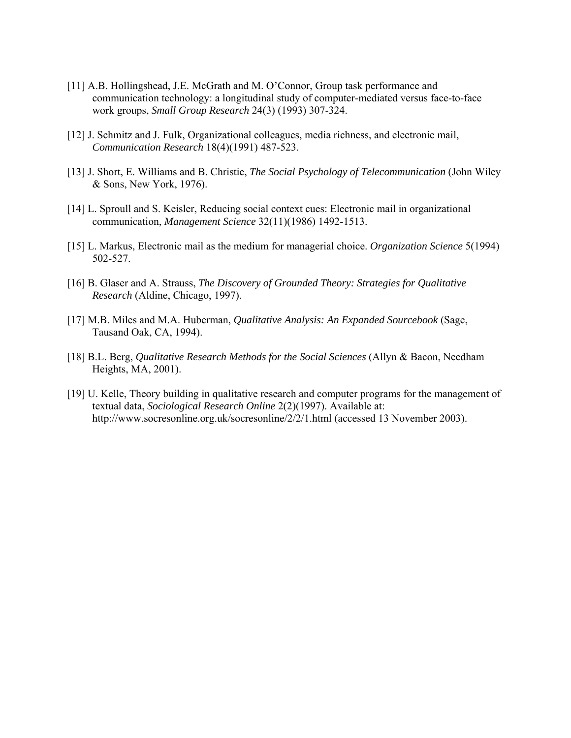- [11] A.B. Hollingshead, J.E. McGrath and M. O'Connor, Group task performance and communication technology: a longitudinal study of computer-mediated versus face-to-face work groups, *Small Group Research* 24(3) (1993) 307-324.
- [12] J. Schmitz and J. Fulk, Organizational colleagues, media richness, and electronic mail, *Communication Research* 18(4)(1991) 487-523.
- [13] J. Short, E. Williams and B. Christie, *The Social Psychology of Telecommunication* (John Wiley & Sons, New York, 1976).
- [14] L. Sproull and S. Keisler, Reducing social context cues: Electronic mail in organizational communication, *Management Science* 32(11)(1986) 1492-1513.
- [15] L. Markus, Electronic mail as the medium for managerial choice. *Organization Science* 5(1994) 502-527.
- [16] B. Glaser and A. Strauss, *The Discovery of Grounded Theory: Strategies for Qualitative Research* (Aldine, Chicago, 1997).
- [17] M.B. Miles and M.A. Huberman, *Qualitative Analysis: An Expanded Sourcebook* (Sage, Tausand Oak, CA, 1994).
- [18] B.L. Berg, *Qualitative Research Methods for the Social Sciences* (Allyn & Bacon, Needham Heights, MA, 2001).
- [19] U. Kelle, Theory building in qualitative research and computer programs for the management of textual data, *Sociological Research Online* 2(2)(1997). Available at: http://www.socresonline.org.uk/socresonline/2/2/1.html (accessed 13 November 2003).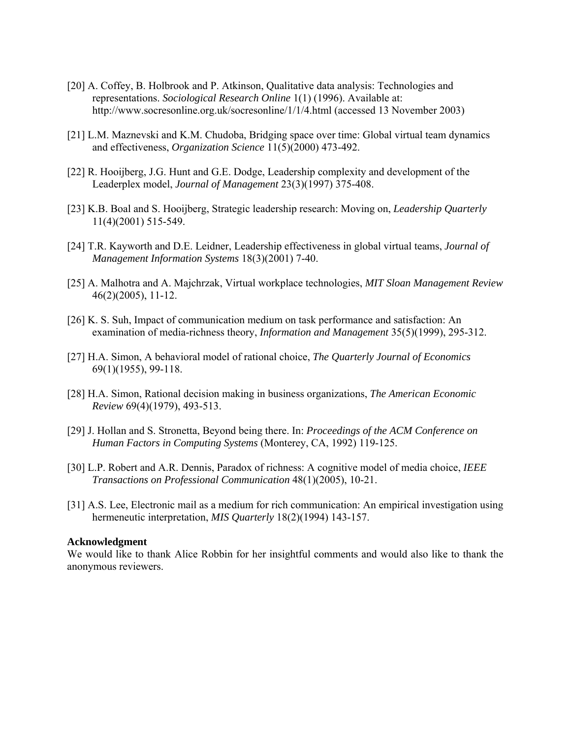- [20] A. Coffey, B. Holbrook and P. Atkinson, Qualitative data analysis: Technologies and representations. *Sociological Research Online* 1(1) (1996). Available at: http://www.socresonline.org.uk/socresonline/1/1/4.html (accessed 13 November 2003)
- [21] L.M. Maznevski and K.M. Chudoba, Bridging space over time: Global virtual team dynamics and effectiveness, *Organization Science* 11(5)(2000) 473-492.
- [22] R. Hooijberg, J.G. Hunt and G.E. Dodge, Leadership complexity and development of the Leaderplex model, *Journal of Management* 23(3)(1997) 375-408.
- [23] K.B. Boal and S. Hooijberg, Strategic leadership research: Moving on, *Leadership Quarterly*  11(4)(2001) 515-549.
- [24] T.R. Kayworth and D.E. Leidner, Leadership effectiveness in global virtual teams, *Journal of Management Information Systems* 18(3)(2001) 7-40.
- [25] A. Malhotra and A. Majchrzak, Virtual workplace technologies, *MIT Sloan Management Review*  46(2)(2005), 11-12.
- [26] K. S. Suh, Impact of communication medium on task performance and satisfaction: An examination of media-richness theory, *Information and Management* 35(5)(1999), 295-312.
- [27] H.A. Simon, A behavioral model of rational choice, *The Quarterly Journal of Economics*  69(1)(1955), 99-118.
- [28] H.A. Simon, Rational decision making in business organizations, *The American Economic Review* 69(4)(1979), 493-513.
- [29] J. Hollan and S. Stronetta, Beyond being there. In: *Proceedings of the ACM Conference on Human Factors in Computing Systems* (Monterey, CA, 1992) 119-125.
- [30] L.P. Robert and A.R. Dennis, Paradox of richness: A cognitive model of media choice, *IEEE Transactions on Professional Communication* 48(1)(2005), 10-21.
- [31] A.S. Lee, Electronic mail as a medium for rich communication: An empirical investigation using hermeneutic interpretation, *MIS Quarterly* 18(2)(1994) 143-157.

#### **Acknowledgment**

We would like to thank Alice Robbin for her insightful comments and would also like to thank the anonymous reviewers.